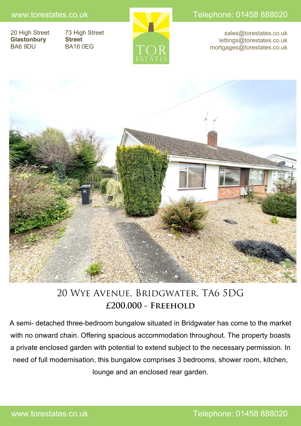www.torestates.co.uk New York Telephone: 01458 888020

20 High Street 73 High Street **Glastonbury Street** BA6 9DU BA16 0EG



sales@torestates.co.uk lettings@torestates.co.uk mortgages@torestates.co.uk



# 20 Wye Avenue, Bridgwater, TA6 5DG **£200,000 - Freehold**

A semi- detached three-bedroom bungalow situated in Bridgwater has come to the market with no onward chain. Offering spacious accommodation throughout. The property boasts a private enclosed garden with potential to extend subject to the necessary permission. In need of full modernisation, this bungalow comprises 3 bedrooms, shower room, kitchen, lounge and an enclosed rear garden.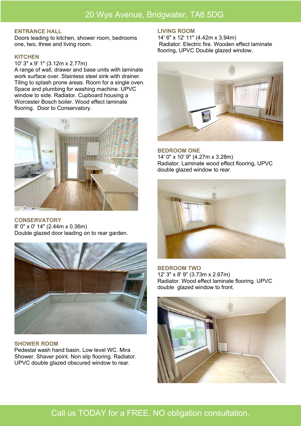# 20 Wye Avenue, Bridgwater, TA6 5DG

#### **ENTRANCE HALL**

Doors leading to kitchen, shower room, bedrooms one, two, three and living room.

#### **KITCHEN**

#### 10' 3" x 9' 1" (3.12m x 2.77m)

A range of wall, drawer and base units with laminate work surface over. Stainless steel sink with drainer. Tiling to splash prone areas. Room for a single oven. Space and plumbing for washing machine. UPVC window to side. Radiator. Cupboard housing a Worcester Bosch boiler. Wood effect laminate flooring. Door to Conservatory.



**CONSERVATORY** 8' 0" x 0' 14" (2.44m x 0.36m) Double glazed door leading on to rear garden.



#### **SHOWER ROOM**

Pedestal wash hand basin. Low level WC. Mira Shower. Shaver point. Non slip flooring. Radiator. UPVC double glazed obscured window to rear.

#### **LIVING ROOM**

14' 6" x 12' 11" (4.42m x 3.94m) Radiator. Electric fire. Wooden effect laminate flooring, UPVC Double glazed window.



**BEDROOM ONE** 14' 0" x 10' 9" (4.27m x 3.28m) Radiator. Laminate wood effect flooring, UPVC double glazed window to rear.



**BEDROOM TWO**  12' 3" x 8' 9" (3.73m x 2.67m) Radiator. Wood effect laminate flooring. UPVC double glazed window to front.



# Call us TODAY for a FREE, NO obligation consultation.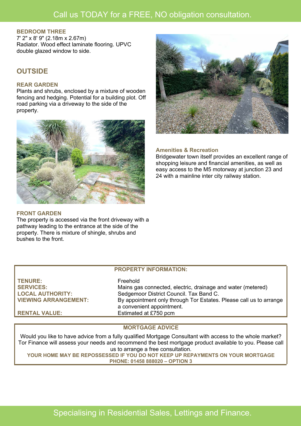# **BEDROOM THREE**

7' 2" x 8' 9" (2.18m x 2.67m) Radiator. Wood effect laminate flooring. UPVC double glazed window to side.

# **OUTSIDE**

# **REAR GARDEN**

Plants and shrubs, enclosed by a mixture of wooden fencing and hedging. Potential for a building plot. Off road parking via a driveway to the side of the property.



# **FRONT GARDEN**

The property is accessed via the front driveway with a pathway leading to the entrance at the side of the property. There is mixture of shingle, shrubs and bushes to the front.



#### **Amenities & Recreation**

Bridgewater town itself provides an excellent range of shopping leisure and financial amenities, as well as easy access to the M5 motorway at junction 23 and 24 with a mainline inter city railway station.

### **PROPERTY INFORMATION:**

| <b>TENURE:</b>              | Freehold                                                           |
|-----------------------------|--------------------------------------------------------------------|
| <b>SERVICES:</b>            | Mains gas connected, electric, drainage and water (metered)        |
| <b>LOCAL AUTHORITY:</b>     | Sedgemoor District Council. Tax Band C.                            |
| <b>VIEWING ARRANGEMENT:</b> | By appointment only through Tor Estates. Please call us to arrange |
|                             | a convenient appointment.                                          |
| <b>RENTAL VALUE:</b>        | Estimated at £750 pcm                                              |

# **MORTGAGE ADVICE**

Would you like to have advice from a fully qualified Mortgage Consultant with access to the whole market? Tor Finance will assess your needs and recommend the best mortgage product available to you. Please call us to arrange a free consultation.

**YOUR HOME MAY BE REPOSSESSED IF YOU DO NOT KEEP UP REPAYMENTS ON YOUR MORTGAGE PHONE: 01458 888020 – OPTION 3**